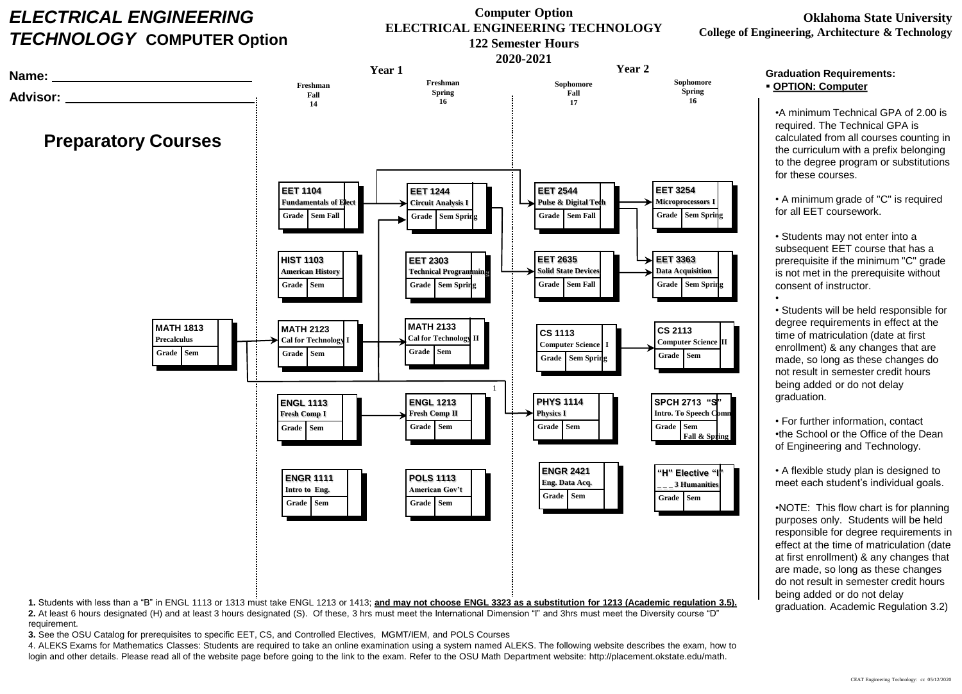## *ELECTRICAL ENGINEERING TECHNOLOGY* **COMPUTER Option**

**Name:**

## **Computer Option ELECTRICAL ENGINEERING TECHNOLOGY 122 Semester Hours**

**2020-2021 Year 1 Year 2 Sophomore Freshman Sophomore Freshman Spring Spring Fall Advisor: Fall 16 14 16 17 Preparatory Courses EET 1104 EET 1244 EET 2544 EET 3254 Fundamentals of Elec Circuit Analysis I Pulse & Digital Tech Microprocessors I Grade Sem Fall Grade Sem Fall Grade Sem Spring Sem Spring Grade HIST 1103 EET 2303 EET 2635 EET 3363 Data Acquisition American History Technical Progra Solid State Devices Grade Sem Grade Sem Spring Grade Sem Spring Grade Sem Fall MATH 2133 MATH 1813 MATH 2123 CS 1113 CS 2113 Cal for Technology II Precalculus Cal for Technology Computer Science Computer Science I Sem Grade Sem Grade Sem III Example 1 Grade Grade Grade Grade Grade Sem Grade Sem Spring** 1 **ENGL 1113 ENGL 1213 PHYS 1114 SPCH 2713 Fresh Comp II Physics I Intro. To Speech C Fresh Comp I Grade Grade Sem Sem Sem Grade** Grade Sem Grade Sem i Grade Sem i Grade Sem Fall & S **ENGR 2421 "H" Elective "I" ENGR 1111 POLS 1113 Eng. Data Acq. \_ \_ \_ 3 Humanities Intro to Eng. American Gov't Grade Sem Grade**Grade Sem Grade Sem Grade Sem Grade Sem Grade Sem Grade Sem **Grade Sem Sem 1.** Students with less than a "B" in ENGL 1113 or 1313 must take ENGL 1213 or 1413; **and may not choose ENGL 3323 as a substitution for 1213 (Academic regulation 3.5).**

**2.** At least 6 hours designated (H) and at least 3 hours designated (S). Of these, 3 hrs must meet the International Dimension "I" and 3hrs must meet the Diversity course "D" requirement.

**3.** See the OSU Catalog for prerequisites to specific EET, CS, and Controlled Electives, MGMT/IEM, and POLS Courses

4. ALEKS Exams for Mathematics Classes: Students are required to take an online examination using a system named ALEKS. The following website describes the exam, how to login and other details. Please read all of the website page before going to the link to the exam. Refer to the OSU Math Department website: http://placement.okstate.edu/math.

## **Oklahoma State University College of Engineering, Architecture & Technology**

## **Graduation Requirements: OPTION: Computer**

•A minimum Technical GPA of 2.00 is required. The Technical GPA is calculated from all courses counting in the curriculum with a prefix belonging to the degree program or substitutions for these courses.

• A minimum grade of "C" is required for all EET coursework.

• Students may not enter into a subsequent EET course that has a prerequisite if the minimum "C" grade is not met in the prerequisite without consent of instructor.

• • Students will be held responsible for degree requirements in effect at the time of matriculation (date at first enrollment) & any changes that are made, so long as these changes do not result in semester credit hours being added or do not delay graduation.

• For further information, contact •the School or the Office of the Dean of Engineering and Technology.

• A flexible study plan is designed to meet each student's individual goals.

•NOTE: This flow chart is for planning purposes only. Students will be held responsible for degree requirements in effect at the time of matriculation (date at first enrollment) & any changes that are made, so long as these changes do not result in semester credit hours being added or do not delay graduation. Academic Regulation 3.2)